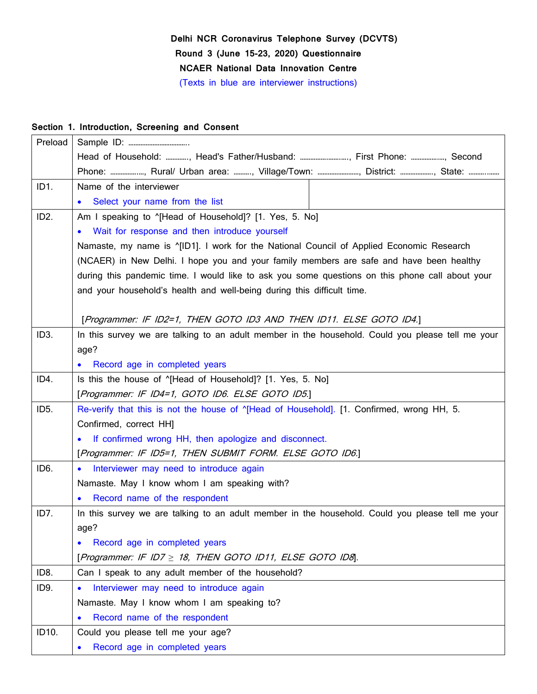# **Delhi NCR Coronavirus Telephone Survey (DCVTS) Round 3 (June 15-23, 2020) Questionnaire NCAER National Data Innovation Centre** (Texts in blue are interviewer instructions)

### **Section 1. Introduction, Screening and Consent**

| Preload           |                                                                                                  |  |  |  |  |
|-------------------|--------------------------------------------------------------------------------------------------|--|--|--|--|
|                   | Head of Household: , Head's Father/Husband: , First Phone: , Second                              |  |  |  |  |
|                   | Phone: , Rural/ Urban area: , Village/Town: , District: , State:                                 |  |  |  |  |
| ID1.              | Name of the interviewer                                                                          |  |  |  |  |
|                   | Select your name from the list<br>$\bullet$                                                      |  |  |  |  |
| ID <sub>2</sub> . | Am I speaking to "[Head of Household]? [1. Yes, 5. No]                                           |  |  |  |  |
|                   | • Wait for response and then introduce yourself                                                  |  |  |  |  |
|                   | Namaste, my name is "[ID1]. I work for the National Council of Applied Economic Research         |  |  |  |  |
|                   | (NCAER) in New Delhi. I hope you and your family members are safe and have been healthy          |  |  |  |  |
|                   | during this pandemic time. I would like to ask you some questions on this phone call about your  |  |  |  |  |
|                   | and your household's health and well-being during this difficult time.                           |  |  |  |  |
|                   |                                                                                                  |  |  |  |  |
|                   | [Programmer: IF ID2=1, THEN GOTO ID3 AND THEN ID11. ELSE GOTO ID4.]                              |  |  |  |  |
| ID <sub>3</sub> . | In this survey we are talking to an adult member in the household. Could you please tell me your |  |  |  |  |
|                   | age?                                                                                             |  |  |  |  |
|                   | Record age in completed years                                                                    |  |  |  |  |
| ID4.              | Is this the house of "[Head of Household]? [1. Yes, 5. No]                                       |  |  |  |  |
|                   | [Programmer: IF ID4=1, GOTO ID6. ELSE GOTO ID5.]                                                 |  |  |  |  |
| ID <sub>5</sub> . | Re-verify that this is not the house of "[Head of Household]. [1. Confirmed, wrong HH, 5.        |  |  |  |  |
|                   | Confirmed, correct HH]                                                                           |  |  |  |  |
|                   | If confirmed wrong HH, then apologize and disconnect.<br>$\bullet$                               |  |  |  |  |
|                   | [Programmer: IF ID5=1, THEN SUBMIT FORM. ELSE GOTO ID6.]                                         |  |  |  |  |
| ID <sub>6</sub> . | Interviewer may need to introduce again<br>$\bullet$                                             |  |  |  |  |
|                   | Namaste. May I know whom I am speaking with?                                                     |  |  |  |  |
|                   | • Record name of the respondent                                                                  |  |  |  |  |
| ID7.              | In this survey we are talking to an adult member in the household. Could you please tell me your |  |  |  |  |
|                   | age?                                                                                             |  |  |  |  |
|                   | Record age in completed years<br>$\bullet$                                                       |  |  |  |  |
|                   | [Programmer: IF ID7 $\geq$ 18, THEN GOTO ID11, ELSE GOTO ID8].                                   |  |  |  |  |
| ID8.              | Can I speak to any adult member of the household?                                                |  |  |  |  |
| ID9.              | Interviewer may need to introduce again<br>$\bullet$                                             |  |  |  |  |
|                   | Namaste. May I know whom I am speaking to?                                                       |  |  |  |  |
|                   | Record name of the respondent<br>$\bullet$                                                       |  |  |  |  |
| ID10.             | Could you please tell me your age?                                                               |  |  |  |  |
|                   | Record age in completed years<br>$\bullet$                                                       |  |  |  |  |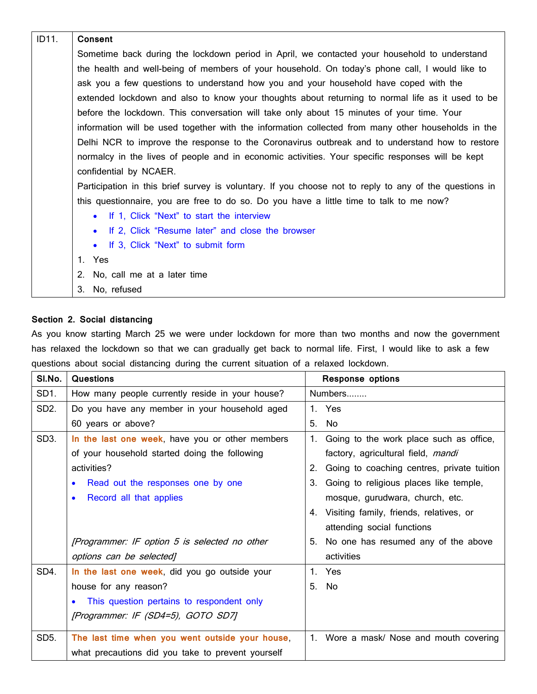| ID11.                                                                                          | <b>Consent</b>                                                                                         |  |  |  |  |
|------------------------------------------------------------------------------------------------|--------------------------------------------------------------------------------------------------------|--|--|--|--|
|                                                                                                | Sometime back during the lockdown period in April, we contacted your household to understand           |  |  |  |  |
| the health and well-being of members of your household. On today's phone call, I would like to |                                                                                                        |  |  |  |  |
|                                                                                                | ask you a few questions to understand how you and your household have coped with the                   |  |  |  |  |
|                                                                                                | extended lockdown and also to know your thoughts about returning to normal life as it used to be       |  |  |  |  |
|                                                                                                | before the lockdown. This conversation will take only about 15 minutes of your time. Your              |  |  |  |  |
|                                                                                                | information will be used together with the information collected from many other households in the     |  |  |  |  |
|                                                                                                | Delhi NCR to improve the response to the Coronavirus outbreak and to understand how to restore         |  |  |  |  |
|                                                                                                | normalcy in the lives of people and in economic activities. Your specific responses will be kept       |  |  |  |  |
|                                                                                                | confidential by NCAER.                                                                                 |  |  |  |  |
|                                                                                                | Participation in this brief survey is voluntary. If you choose not to reply to any of the questions in |  |  |  |  |
|                                                                                                | this questionnaire, you are free to do so. Do you have a little time to talk to me now?                |  |  |  |  |
|                                                                                                | • If 1, Click "Next" to start the interview                                                            |  |  |  |  |
|                                                                                                | If 2, Click "Resume later" and close the browser<br>$\bullet$                                          |  |  |  |  |
|                                                                                                | If 3, Click "Next" to submit form<br>$\bullet$                                                         |  |  |  |  |
|                                                                                                | 1. Yes                                                                                                 |  |  |  |  |
|                                                                                                | 2.<br>No, call me at a later time                                                                      |  |  |  |  |
|                                                                                                | No, refused<br>3.                                                                                      |  |  |  |  |

#### **Section 2. Social distancing**

As you know starting March 25 we were under lockdown for more than two months and now the government has relaxed the lockdown so that we can gradually get back to normal life. First, I would like to ask a few questions about social distancing during the current situation of a relaxed lockdown.

| SI.No.            | <b>Questions</b>                                  |    | <b>Response options</b>                    |  |  |
|-------------------|---------------------------------------------------|----|--------------------------------------------|--|--|
| SD1.              | How many people currently reside in your house?   |    | Numbers                                    |  |  |
| SD <sub>2</sub> . | Do you have any member in your household aged     |    | 1. Yes                                     |  |  |
|                   | 60 years or above?                                | 5. | No                                         |  |  |
| SD3.              | In the last one week, have you or other members   | 1. | Going to the work place such as office,    |  |  |
|                   | of your household started doing the following     |    | factory, agricultural field, mandi         |  |  |
|                   | activities?                                       |    | Going to coaching centres, private tuition |  |  |
|                   | Read out the responses one by one                 | 3. | Going to religious places like temple,     |  |  |
|                   | Record all that applies                           |    | mosque, gurudwara, church, etc.            |  |  |
|                   |                                                   |    | 4. Visiting family, friends, relatives, or |  |  |
|                   |                                                   |    | attending social functions                 |  |  |
|                   | [Programmer: IF option 5 is selected no other     |    | 5. No one has resumed any of the above     |  |  |
|                   | options can be selected]                          |    | activities                                 |  |  |
| SD4.              | In the last one week, did you go outside your     |    | 1. Yes                                     |  |  |
|                   | house for any reason?                             | 5. | No.                                        |  |  |
|                   | This question pertains to respondent only         |    |                                            |  |  |
|                   | [Programmer: IF (SD4=5), GOTO SD7]                |    |                                            |  |  |
| SD <sub>5</sub> . | The last time when you went outside your house,   |    | 1. Wore a mask/ Nose and mouth covering    |  |  |
|                   | what precautions did you take to prevent yourself |    |                                            |  |  |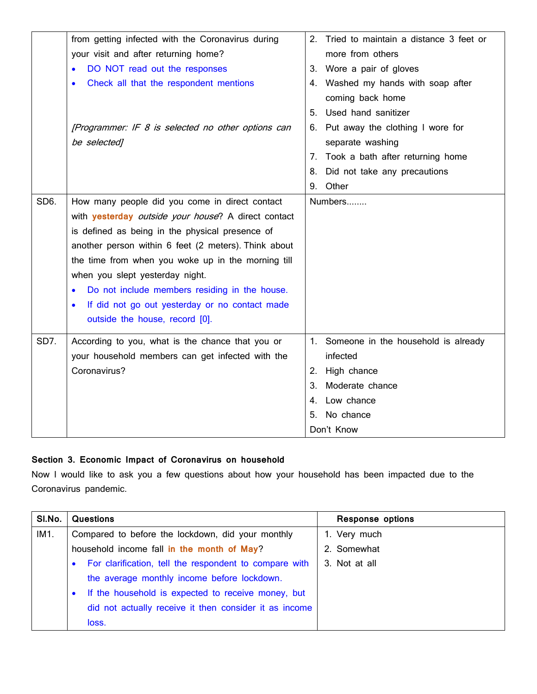|      | from getting infected with the Coronavirus during           | 2.<br>Tried to maintain a distance 3 feet or |
|------|-------------------------------------------------------------|----------------------------------------------|
|      | your visit and after returning home?                        | more from others                             |
|      | DO NOT read out the responses                               | Wore a pair of gloves<br>3.                  |
|      | Check all that the respondent mentions                      | Washed my hands with soap after<br>4.        |
|      |                                                             | coming back home                             |
|      |                                                             | Used hand sanitizer<br>5.                    |
|      | [Programmer: IF 8 is selected no other options can          | 6. Put away the clothing I wore for          |
|      | be selected]                                                | separate washing                             |
|      |                                                             | Took a bath after returning home<br>7.       |
|      |                                                             | Did not take any precautions<br>8.           |
|      |                                                             | Other<br>9.                                  |
| SD6. | How many people did you come in direct contact              | Numbers                                      |
|      | with <b>yesterday</b> outside your house? A direct contact  |                                              |
|      | is defined as being in the physical presence of             |                                              |
|      | another person within 6 feet (2 meters). Think about        |                                              |
|      | the time from when you woke up in the morning till          |                                              |
|      | when you slept yesterday night.                             |                                              |
|      | Do not include members residing in the house.               |                                              |
|      | If did not go out yesterday or no contact made<br>$\bullet$ |                                              |
|      | outside the house, record [0].                              |                                              |
| SD7. | According to you, what is the chance that you or            | 1. Someone in the household is already       |
|      | your household members can get infected with the            | infected                                     |
|      | Coronavirus?                                                | High chance<br>2.                            |
|      |                                                             | 3.<br>Moderate chance                        |
|      |                                                             | Low chance<br>4.                             |
|      |                                                             | No chance<br>5.                              |
|      |                                                             | Don't Know                                   |

# **Section 3. Economic Impact of Coronavirus on household**

Now I would like to ask you a few questions about how your household has been impacted due to the Coronavirus pandemic.

| SI.No. | <b>Questions</b>                                                | <b>Response options</b> |
|--------|-----------------------------------------------------------------|-------------------------|
| IM1.   | Compared to before the lockdown, did your monthly               | 1. Very much            |
|        | household income fall in the month of May?                      | 2. Somewhat             |
|        | For clarification, tell the respondent to compare with          | 3. Not at all           |
|        | the average monthly income before lockdown.                     |                         |
|        | If the household is expected to receive money, but<br>$\bullet$ |                         |
|        | did not actually receive it then consider it as income          |                         |
|        | loss.                                                           |                         |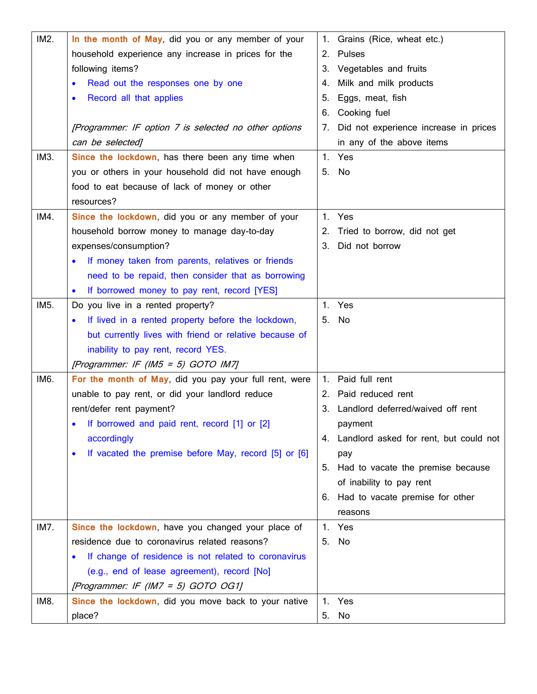| IM2. | In the month of May, did you or any member of your                | 1.                    | Grains (Rice, wheat etc.)                 |
|------|-------------------------------------------------------------------|-----------------------|-------------------------------------------|
|      | household experience any increase in prices for the               | 2.                    | <b>Pulses</b>                             |
|      | following items?                                                  | 3.                    | Vegetables and fruits                     |
|      | Read out the responses one by one                                 | 4.                    | Milk and milk products                    |
|      | Record all that applies                                           | 5.                    | Eggs, meat, fish                          |
|      |                                                                   | 6.                    | Cooking fuel                              |
|      | [Programmer: IF option 7 is selected no other options             | 7.                    | Did not experience increase in prices     |
|      | can be selected]                                                  |                       | in any of the above items                 |
| IM3. | Since the lockdown, has there been any time when                  | Yes<br>$\mathbf{1}$ . |                                           |
|      | you or others in your household did not have enough               | No<br>5.              |                                           |
|      | food to eat because of lack of money or other                     |                       |                                           |
|      | resources?                                                        |                       |                                           |
| IM4. | Since the lockdown, did you or any member of your                 | 1.<br>Yes             |                                           |
|      | household borrow money to manage day-to-day                       | 2.                    | Tried to borrow, did not get              |
|      | expenses/consumption?                                             | 3.                    | Did not borrow                            |
|      | If money taken from parents, relatives or friends                 |                       |                                           |
|      | need to be repaid, then consider that as borrowing                |                       |                                           |
|      | If borrowed money to pay rent, record [YES]                       |                       |                                           |
| IM5. | Do you live in a rented property?                                 | Yes<br>$\mathbf{1}$ . |                                           |
|      | If lived in a rented property before the lockdown,                | No<br>5.              |                                           |
|      | but currently lives with friend or relative because of            |                       |                                           |
|      | inability to pay rent, record YES.                                |                       |                                           |
|      | [Programmer: IF (IM5 = 5) GOTO IM7]                               |                       |                                           |
| IM6. | For the month of May, did you pay your full rent, were            | 1.                    | Paid full rent                            |
|      | unable to pay rent, or did your landlord reduce                   | 2.                    | Paid reduced rent                         |
|      | rent/defer rent payment?                                          | 3.                    | Landlord deferred/waived off rent         |
|      | If borrowed and paid rent, record [1] or [2]                      |                       | payment                                   |
|      | accordingly                                                       |                       | 4. Landlord asked for rent, but could not |
|      | If vacated the premise before May, record [5] or [6]<br>$\bullet$ | pay                   |                                           |
|      |                                                                   | 5.                    | Had to vacate the premise because         |
|      |                                                                   |                       | of inability to pay rent                  |
|      |                                                                   | 6.                    | Had to vacate premise for other           |
|      |                                                                   |                       | reasons                                   |
| IM7. | Since the lockdown, have you changed your place of                | 1.<br>Yes             |                                           |
|      | residence due to coronavirus related reasons?                     | No<br>5.              |                                           |
|      | If change of residence is not related to coronavirus              |                       |                                           |
|      | (e.g., end of lease agreement), record [No]                       |                       |                                           |
|      | [Programmer: IF (IM7 = 5) GOTO OG1]                               |                       |                                           |
| IM8. | Since the lockdown, did you move back to your native              | Yes<br>1.             |                                           |
|      | place?                                                            | 5.<br>No              |                                           |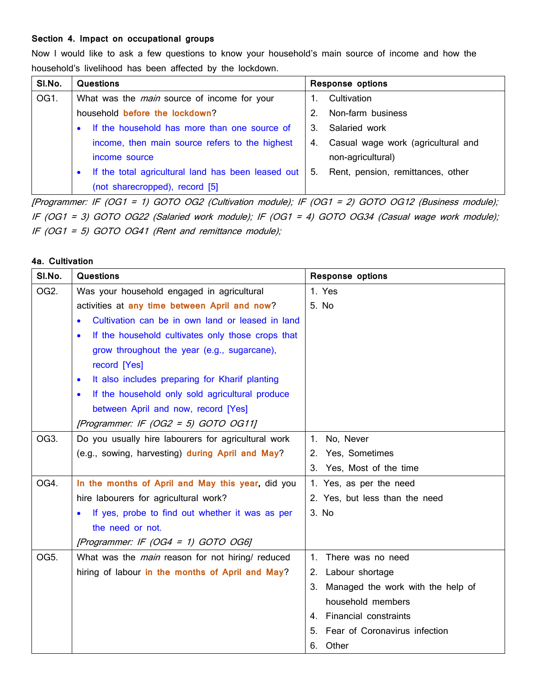#### **Section 4. Impact on occupational groups**

Now I would like to ask a few questions to know your household's main source of income and how the household's livelihood has been affected by the lockdown.

| SI.No. | Questions                                                       | <b>Response options</b> |                                    |  |
|--------|-----------------------------------------------------------------|-------------------------|------------------------------------|--|
| OG1.   | What was the <i>main</i> source of income for your              |                         | Cultivation                        |  |
|        | household before the lockdown?                                  |                         | Non-farm business                  |  |
|        | If the household has more than one source of<br>$\bullet$       | 3.                      | Salaried work                      |  |
|        | income, then main source refers to the highest                  | 4.                      | Casual wage work (agricultural and |  |
|        | income source                                                   |                         | non-agricultural)                  |  |
|        | If the total agricultural land has been leased out<br>$\bullet$ | 5.                      | Rent, pension, remittances, other  |  |
|        | (not sharecropped), record [5]                                  |                         |                                    |  |

[Programmer: IF (OG1 <sup>=</sup> 1) GOTO OG2 (Cultivation module); IF (OG1 <sup>=</sup> 2) GOTO OG12 (Business module); IF (OG1 <sup>=</sup> 3) GOTO OG22 (Salaried work module); IF (OG1 <sup>=</sup> 4) GOTO OG34 (Casual wage work module); IF (OG1 = 5) GOTO OG41 (Rent and remittance module);

### **4a. Cultivation**

| SI.No.            | <b>Questions</b>                                               | <b>Response options</b>                 |
|-------------------|----------------------------------------------------------------|-----------------------------------------|
| OG <sub>2</sub> . | Was your household engaged in agricultural                     | 1. Yes                                  |
|                   | activities at any time between April and now?                  | 5. No                                   |
|                   | Cultivation can be in own land or leased in land<br>$\bullet$  |                                         |
|                   | If the household cultivates only those crops that<br>$\bullet$ |                                         |
|                   | grow throughout the year (e.g., sugarcane),                    |                                         |
|                   | record [Yes]                                                   |                                         |
|                   | It also includes preparing for Kharif planting<br>$\bullet$    |                                         |
|                   | If the household only sold agricultural produce<br>$\bullet$   |                                         |
|                   | between April and now, record [Yes]                            |                                         |
|                   | [Programmer: IF (OG2 = 5) GOTO OG11]                           |                                         |
| OG3.              | Do you usually hire labourers for agricultural work            | No, Never<br>1.                         |
|                   | (e.g., sowing, harvesting) during April and May?               | 2. Yes, Sometimes                       |
|                   |                                                                | 3. Yes, Most of the time                |
| OG4.              | In the months of April and May this year, did you              | 1. Yes, as per the need                 |
|                   | hire labourers for agricultural work?                          | 2. Yes, but less than the need          |
|                   | If yes, probe to find out whether it was as per<br>$\bullet$   | 3. No                                   |
|                   | the need or not.                                               |                                         |
|                   | [Programmer: IF (OG4 = 1) GOTO OG6]                            |                                         |
| OG5.              | What was the <i>main</i> reason for not hiring/ reduced        | There was no need<br>$\mathbf{1}$ .     |
|                   | hiring of labour in the months of April and May?               | 2. Labour shortage                      |
|                   |                                                                | 3.<br>Managed the work with the help of |
|                   |                                                                | household members                       |
|                   |                                                                | <b>Financial constraints</b><br>4       |
|                   |                                                                | Fear of Coronavirus infection<br>5.     |
|                   |                                                                | 6.<br>Other                             |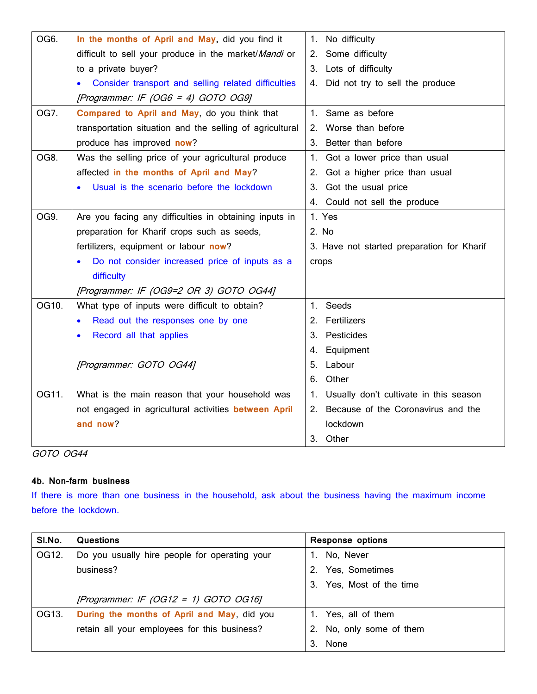| OG6.  | In the months of April and May, did you find it                  | No difficulty<br>1.                          |
|-------|------------------------------------------------------------------|----------------------------------------------|
|       | difficult to sell your produce in the market/Mandi or            | Some difficulty<br>2.                        |
|       | to a private buyer?                                              | 3. Lots of difficulty                        |
|       | Consider transport and selling related difficulties<br>$\bullet$ | Did not try to sell the produce<br>4.        |
|       | [Programmer: IF (OG6 = 4) GOTO OG9]                              |                                              |
| OG7.  | Compared to April and May, do you think that                     | Same as before<br>$1_{-}$                    |
|       | transportation situation and the selling of agricultural         | Worse than before<br>2.                      |
|       | produce has improved now?                                        | 3.<br>Better than before                     |
| OG8.  | Was the selling price of your agricultural produce               | $1_{\cdot}$<br>Got a lower price than usual  |
|       | affected in the months of April and May?                         | Got a higher price than usual<br>2.          |
|       | Usual is the scenario before the lockdown                        | Got the usual price<br>3.                    |
|       |                                                                  | 4. Could not sell the produce                |
| OG9.  | Are you facing any difficulties in obtaining inputs in           | 1. Yes                                       |
|       | preparation for Kharif crops such as seeds,                      | 2. No                                        |
|       | fertilizers, equipment or labour now?                            | 3. Have not started preparation for Kharif   |
|       | Do not consider increased price of inputs as a                   | crops                                        |
|       | difficulty                                                       |                                              |
|       | [Programmer: IF (OG9=2 OR 3) GOTO OG44]                          |                                              |
| OG10. | What type of inputs were difficult to obtain?                    | Seeds<br>1.                                  |
|       | Read out the responses one by one<br>$\bullet$                   | Fertilizers<br>2.                            |
|       | Record all that applies                                          | Pesticides<br>3.                             |
|       |                                                                  | Equipment<br>4.                              |
|       | [Programmer: GOTO OG44]                                          | Labour<br>5.                                 |
|       |                                                                  | Other<br>6.                                  |
| OG11. | What is the main reason that your household was                  | Usually don't cultivate in this season<br>1. |
|       | not engaged in agricultural activities between April             | 2. Because of the Coronavirus and the        |
|       | and now?                                                         | lockdown                                     |
|       |                                                                  | Other<br>3.                                  |

#### **4b. Non-farm business**

If there is more than one business in the household, ask about the business having the maximum income before the lockdown.

| SI.No. | Questions                                     | <b>Response options</b>     |
|--------|-----------------------------------------------|-----------------------------|
| OG12.  | Do you usually hire people for operating your | No, Never                   |
|        | business?                                     | Yes, Sometimes              |
|        |                                               | Yes, Most of the time<br>3. |
|        | [Programmer: IF (OG12 = 1) GOTO OG16]         |                             |
| OG13.  | During the months of April and May, did you   | Yes, all of them            |
|        | retain all your employees for this business?  | No, only some of them       |
|        |                                               | None                        |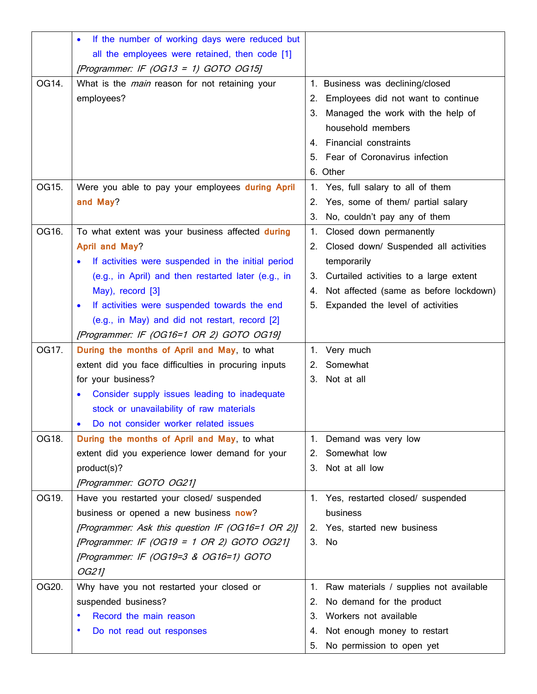|       | If the number of working days were reduced but            |    |                                          |
|-------|-----------------------------------------------------------|----|------------------------------------------|
|       | all the employees were retained, then code [1]            |    |                                          |
|       | [Programmer: IF $(OG13 = 1)$ GOTO OG15]                   |    |                                          |
| OG14. | What is the <i>main</i> reason for not retaining your     |    | 1. Business was declining/closed         |
|       | employees?                                                | 2. | Employees did not want to continue       |
|       |                                                           | 3. | Managed the work with the help of        |
|       |                                                           |    | household members                        |
|       |                                                           | 4. | <b>Financial constraints</b>             |
|       |                                                           |    | 5. Fear of Coronavirus infection         |
|       |                                                           |    | 6. Other                                 |
| OG15. | Were you able to pay your employees during April          |    | 1. Yes, full salary to all of them       |
|       | and May?                                                  | 2. | Yes, some of them/ partial salary        |
|       |                                                           | 3. | No, couldn't pay any of them             |
| OG16. | To what extent was your business affected during          | 1. | Closed down permanently                  |
|       | <b>April and May?</b>                                     |    | 2. Closed down/ Suspended all activities |
|       | If activities were suspended in the initial period        |    | temporarily                              |
|       | (e.g., in April) and then restarted later (e.g., in       | 3. | Curtailed activities to a large extent   |
|       | May), record [3]                                          | 4. | Not affected (same as before lockdown)   |
|       | If activities were suspended towards the end<br>$\bullet$ | 5. | Expanded the level of activities         |
|       | (e.g., in May) and did not restart, record [2]            |    |                                          |
|       | [Programmer: IF (OG16=1 OR 2) GOTO OG19]                  |    |                                          |
| OG17. | During the months of April and May, to what               | 1. | Very much                                |
|       | extent did you face difficulties in procuring inputs      | 2. | Somewhat                                 |
|       | for your business?                                        | 3. | Not at all                               |
|       | Consider supply issues leading to inadequate<br>$\bullet$ |    |                                          |
|       | stock or unavailability of raw materials                  |    |                                          |
|       | Do not consider worker related issues                     |    |                                          |
| OG18. | During the months of April and May, to what               |    | 1. Demand was very low                   |
|       | extent did you experience lower demand for your           | 2. | Somewhat low                             |
|       | product(s)?                                               | 3. | Not at all low                           |
|       | [Programmer: GOTO OG21]                                   |    |                                          |
| OG19. | Have you restarted your closed/ suspended                 |    | 1. Yes, restarted closed/ suspended      |
|       | business or opened a new business now?                    |    | business                                 |
|       | [Programmer: Ask this question IF (OG16=1 OR 2)]          |    | 2. Yes, started new business             |
|       | [Programmer: IF (OG19 = 1 OR 2) GOTO OG21]                |    | 3. No                                    |
|       | [Programmer: IF (OG19=3 & OG16=1) GOTO                    |    |                                          |
|       | OG21]                                                     |    |                                          |
| OG20. | Why have you not restarted your closed or                 | 1. | Raw materials / supplies not available   |
|       | suspended business?                                       | 2. | No demand for the product                |
|       | Record the main reason                                    | 3. | Workers not available                    |
|       | Do not read out responses                                 | 4. | Not enough money to restart              |
|       |                                                           | 5. | No permission to open yet                |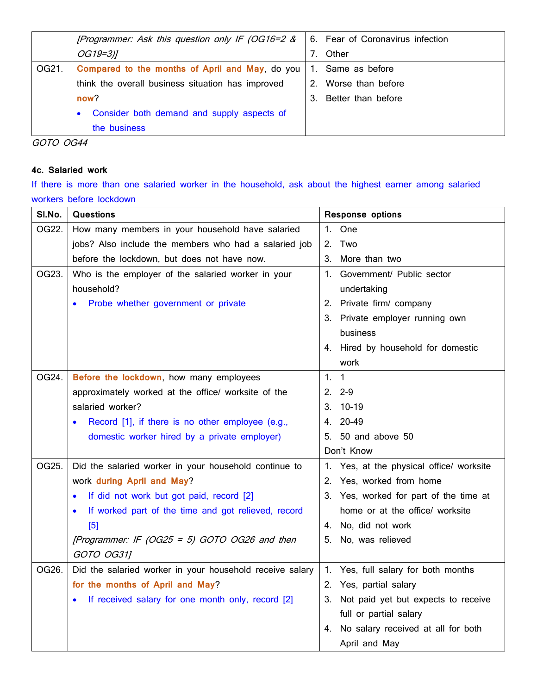|       | [Programmer: Ask this question only IF (OG16=2 &        |    | 6. Fear of Coronavirus infection |
|-------|---------------------------------------------------------|----|----------------------------------|
|       | $OG19=3)$ ]                                             |    | Other                            |
| OG21. | Compared to the months of April and May, do you         | 1. | Same as before                   |
|       | think the overall business situation has improved       |    | Worse than before                |
|       | now?                                                    |    | Better than before               |
|       | Consider both demand and supply aspects of<br>$\bullet$ |    |                                  |
|       | the business                                            |    |                                  |

#### **4c. Salaried work**

If there is more than one salaried worker in the household, ask about the highest earner among salaried workers before lockdown

| SI.No. | <b>Questions</b>                                         |         | <b>Response options</b>                  |
|--------|----------------------------------------------------------|---------|------------------------------------------|
| OG22.  | How many members in your household have salaried         |         | 1. One                                   |
|        | jobs? Also include the members who had a salaried job    | 2.      | Two                                      |
|        | before the lockdown, but does not have now.              |         | 3. More than two                         |
| OG23.  | Who is the employer of the salaried worker in your       |         | 1. Government/ Public sector             |
|        | household?                                               |         | undertaking                              |
|        | Probe whether government or private                      |         | 2. Private firm/ company                 |
|        |                                                          |         | 3. Private employer running own          |
|        |                                                          |         | business                                 |
|        |                                                          |         | 4. Hired by household for domestic       |
|        |                                                          |         | work                                     |
| OG24.  | Before the lockdown, how many employees                  | $1_{-}$ | $\overline{1}$                           |
|        | approximately worked at the office/ worksite of the      |         | $2.2 - 9$                                |
|        | salaried worker?                                         |         | 3. 10-19                                 |
|        | Record [1], if there is no other employee (e.g.,         |         | 4. 20-49                                 |
|        | domestic worker hired by a private employer)             |         | 5. 50 and above 50                       |
|        |                                                          |         | Don't Know                               |
| OG25.  | Did the salaried worker in your household continue to    |         | 1. Yes, at the physical office/ worksite |
|        | work during April and May?                               |         | 2. Yes, worked from home                 |
|        | If did not work but got paid, record [2]                 |         | 3. Yes, worked for part of the time at   |
|        | If worked part of the time and got relieved, record      |         | home or at the office/ worksite          |
|        | [5]                                                      |         | 4. No, did not work                      |
|        | [Programmer: IF (OG25 = 5) GOTO OG26 and then            | 5.      | No, was relieved                         |
|        | GOTO OG311                                               |         |                                          |
| OG26.  | Did the salaried worker in your household receive salary |         | 1. Yes, full salary for both months      |
|        | for the months of April and May?                         |         | 2. Yes, partial salary                   |
|        | If received salary for one month only, record [2]        |         | 3. Not paid yet but expects to receive   |
|        |                                                          |         | full or partial salary                   |
|        |                                                          |         | 4. No salary received at all for both    |
|        |                                                          |         | April and May                            |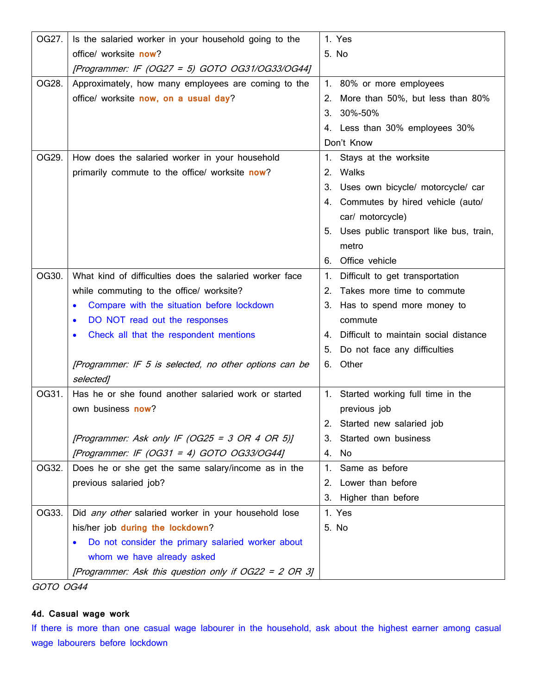| OG27. | Is the salaried worker in your household going to the       | 1. Yes                                      |
|-------|-------------------------------------------------------------|---------------------------------------------|
|       | office/ worksite now?                                       | 5. No                                       |
|       | [Programmer: IF (OG27 = 5) GOTO OG31/OG33/OG44]             |                                             |
| OG28. | Approximately, how many employees are coming to the         | 1. 80% or more employees                    |
|       | office/ worksite now, on a usual day?                       | More than 50%, but less than 80%<br>2.      |
|       |                                                             | 3. 30%-50%                                  |
|       |                                                             | 4. Less than 30% employees 30%              |
|       |                                                             | Don't Know                                  |
| OG29. | How does the salaried worker in your household              | Stays at the worksite                       |
|       | primarily commute to the office/ worksite now?              | 2. Walks                                    |
|       |                                                             | Uses own bicycle/ motorcycle/ car<br>З.     |
|       |                                                             | Commutes by hired vehicle (auto/<br>4.      |
|       |                                                             | car/ motorcycle)                            |
|       |                                                             | 5. Uses public transport like bus, train,   |
|       |                                                             | metro                                       |
|       |                                                             | 6. Office vehicle                           |
| OG30. | What kind of difficulties does the salaried worker face     | Difficult to get transportation<br>1.       |
|       | while commuting to the office/ worksite?                    | Takes more time to commute<br>2.            |
|       | Compare with the situation before lockdown<br>$\bullet$     | З.<br>Has to spend more money to            |
|       | DO NOT read out the responses<br>$\bullet$                  | commute                                     |
|       | Check all that the respondent mentions                      | Difficult to maintain social distance<br>4. |
|       |                                                             | Do not face any difficulties<br>5.          |
|       | [Programmer: IF 5 is selected, no other options can be      | Other<br>6.                                 |
|       | selected]                                                   |                                             |
| OG31. | Has he or she found another salaried work or started        | 1. Started working full time in the         |
|       | own business now?                                           | previous job                                |
|       |                                                             | 2.<br>Started new salaried job              |
|       | [Programmer: Ask only IF (OG25 = 3 OR 4 OR 5)]              | 3. Started own business                     |
|       | [Programmer: IF $(OG31 = 4)$ GOTO OG33/OG44]                | No<br>4.                                    |
| OG32. | Does he or she get the same salary/income as in the         | Same as before<br>1.                        |
|       | previous salaried job?                                      | Lower than before<br>2.                     |
|       |                                                             | 3. Higher than before                       |
| OG33. | Did <i>any other</i> salaried worker in your household lose | 1. Yes                                      |
|       | his/her job during the lockdown?                            | 5. No                                       |
|       | Do not consider the primary salaried worker about           |                                             |
|       | whom we have already asked                                  |                                             |
|       | [Programmer: Ask this question only if OG22 = 2 OR 3]       |                                             |

## **4d. Casual wage work**

If there is more than one casual wage labourer in the household, ask about the highest earner among casual wage labourers before lockdown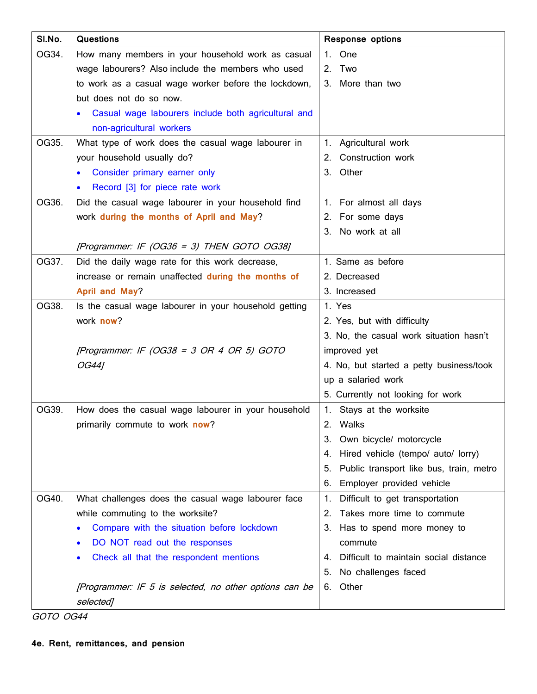| SI.No. | <b>Questions</b>                                                 | <b>Response options</b>                       |
|--------|------------------------------------------------------------------|-----------------------------------------------|
| OG34.  | How many members in your household work as casual                | 1. One                                        |
|        | wage labourers? Also include the members who used                | 2. Two                                        |
|        | to work as a casual wage worker before the lockdown,             | 3. More than two                              |
|        | but does not do so now.                                          |                                               |
|        | Casual wage labourers include both agricultural and<br>$\bullet$ |                                               |
|        | non-agricultural workers                                         |                                               |
| OG35.  | What type of work does the casual wage labourer in               | 1. Agricultural work                          |
|        | your household usually do?                                       | 2. Construction work                          |
|        | Consider primary earner only<br>$\bullet$                        | 3. Other                                      |
|        | Record [3] for piece rate work<br>$\bullet$                      |                                               |
| OG36.  | Did the casual wage labourer in your household find              | 1. For almost all days                        |
|        | work during the months of April and May?                         | 2. For some days                              |
|        |                                                                  | 3. No work at all                             |
|        | [Programmer: IF (OG36 = 3) THEN GOTO OG38]                       |                                               |
| OG37.  | Did the daily wage rate for this work decrease,                  | 1. Same as before                             |
|        | increase or remain unaffected during the months of               | 2. Decreased                                  |
|        | April and May?                                                   | 3. Increased                                  |
| OG38.  | Is the casual wage labourer in your household getting            | 1. Yes                                        |
|        | work now?                                                        | 2. Yes, but with difficulty                   |
|        |                                                                  | 3. No, the casual work situation hasn't       |
|        | [Programmer: IF (OG38 = 3 OR 4 OR 5) GOTO                        | improved yet                                  |
|        | OG44]                                                            | 4. No, but started a petty business/took      |
|        |                                                                  | up a salaried work                            |
|        |                                                                  | 5. Currently not looking for work             |
| OG39.  | How does the casual wage labourer in your household              | 1. Stays at the worksite                      |
|        | primarily commute to work now?                                   | 2. Walks                                      |
|        |                                                                  | Own bicycle/ motorcycle<br>3.                 |
|        |                                                                  | Hired vehicle (tempo/ auto/ lorry)<br>4.      |
|        |                                                                  | Public transport like bus, train, metro<br>5. |
|        |                                                                  | Employer provided vehicle<br>6.               |
| OG40.  | What challenges does the casual wage labourer face               | Difficult to get transportation<br>1.         |
|        | while commuting to the worksite?                                 | Takes more time to commute<br>2.              |
|        | Compare with the situation before lockdown<br>$\bullet$          | З.<br>Has to spend more money to              |
|        | DO NOT read out the responses<br>$\bullet$                       | commute                                       |
|        | Check all that the respondent mentions                           | Difficult to maintain social distance<br>4.   |
|        |                                                                  | No challenges faced<br>5.                     |
|        | [Programmer: IF 5 is selected, no other options can be           | Other<br>6.                                   |
|        | selected]                                                        |                                               |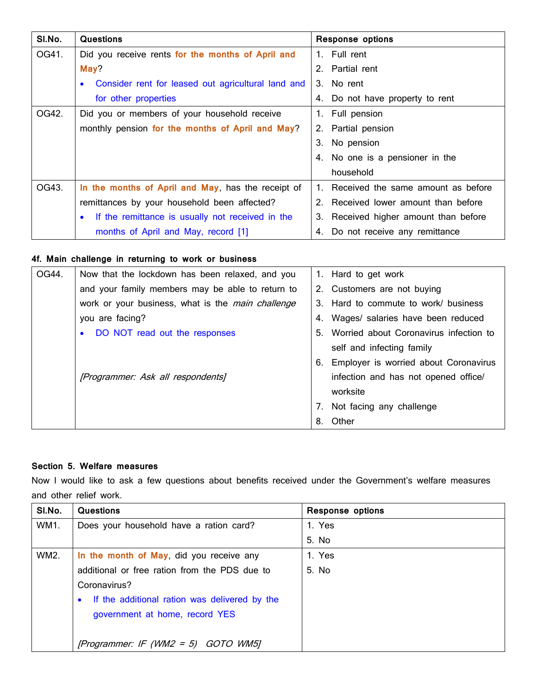| SI.No. | <b>Questions</b>                                                | <b>Response options</b>               |
|--------|-----------------------------------------------------------------|---------------------------------------|
| OG41.  | Did you receive rents for the months of April and               | 1. Full rent                          |
|        | May?                                                            | 2. Partial rent                       |
|        | Consider rent for leased out agricultural land and<br>$\bullet$ | 3. No rent                            |
|        | for other properties                                            | 4. Do not have property to rent       |
| OG42.  | Did you or members of your household receive                    | 1. Full pension                       |
|        | monthly pension for the months of April and May?                | 2. Partial pension                    |
|        |                                                                 | 3. No pension                         |
|        |                                                                 | 4. No one is a pensioner in the       |
|        |                                                                 | household                             |
| OG43.  | In the months of April and May, has the receipt of              | 1. Received the same amount as before |
|        | remittances by your household been affected?                    | 2. Received lower amount than before  |
|        | If the remittance is usually not received in the<br>$\bullet$   | 3. Received higher amount than before |
|        | months of April and May, record [1]                             | 4. Do not receive any remittance      |

### **4f. Main challenge in returning to work or business**

| OG44. | Now that the lockdown has been relaxed, and you          |    | 1. Hard to get work                      |
|-------|----------------------------------------------------------|----|------------------------------------------|
|       | and your family members may be able to return to         |    | 2. Customers are not buying              |
|       | work or your business, what is the <i>main challenge</i> | 3. | Hard to commute to work/ business        |
|       | you are facing?                                          | 4. | Wages/ salaries have been reduced        |
|       | DO NOT read out the responses<br>$\bullet$               | 5. | Worried about Coronavirus infection to   |
|       |                                                          |    | self and infecting family                |
|       |                                                          |    | 6. Employer is worried about Coronavirus |
|       | [Programmer: Ask all respondents]                        |    | infection and has not opened office/     |
|       |                                                          |    | worksite                                 |
|       |                                                          | 7. | Not facing any challenge                 |
|       |                                                          |    | 8. Other                                 |

#### **Section 5. Welfare measures**

Now I would like to ask a few questions about benefits received under the Government's welfare measures and other relief work.

| SI.No.      | <b>Questions</b>                                | <b>Response options</b> |
|-------------|-------------------------------------------------|-------------------------|
| WM1.        | Does your household have a ration card?         | 1. Yes                  |
|             |                                                 | 5. No                   |
| <b>WM2.</b> | In the month of May, did you receive any        | 1. Yes                  |
|             | additional or free ration from the PDS due to   | 5. No.                  |
|             | Coronavirus?                                    |                         |
|             | • If the additional ration was delivered by the |                         |
|             | government at home, record YES                  |                         |
|             |                                                 |                         |
|             | [Programmer: IF (WM2 = 5) GOTO WM5]             |                         |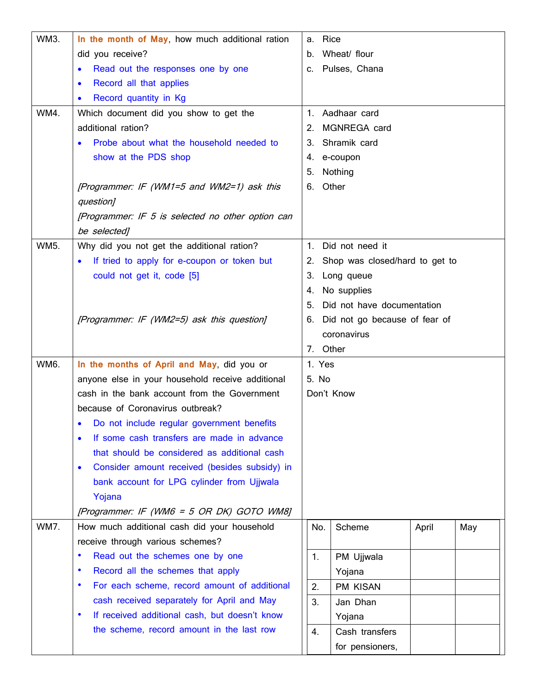| <b>WM3.</b> | In the month of May, how much additional ration            |       | a. Rice                           |       |     |  |
|-------------|------------------------------------------------------------|-------|-----------------------------------|-------|-----|--|
|             | did you receive?                                           |       | b. Wheat/ flour                   |       |     |  |
|             | Read out the responses one by one                          |       | c. Pulses, Chana                  |       |     |  |
|             | Record all that applies<br>$\bullet$                       |       |                                   |       |     |  |
|             | Record quantity in Kg<br>$\bullet$                         |       |                                   |       |     |  |
| WM4.        | Which document did you show to get the                     |       | 1. Aadhaar card                   |       |     |  |
|             | additional ration?                                         | 2.    | MGNREGA card                      |       |     |  |
|             | Probe about what the household needed to                   |       | 3. Shramik card                   |       |     |  |
|             | show at the PDS shop                                       |       | 4. e-coupon                       |       |     |  |
|             |                                                            | 5.    | Nothing                           |       |     |  |
|             | [Programmer: IF (WM1=5 and WM2=1) ask this                 |       | 6. Other                          |       |     |  |
|             | question]                                                  |       |                                   |       |     |  |
|             | [Programmer: IF 5 is selected no other option can          |       |                                   |       |     |  |
|             | be selected]                                               |       |                                   |       |     |  |
| <b>WM5.</b> | Why did you not get the additional ration?                 | 1.    | Did not need it                   |       |     |  |
|             | If tried to apply for e-coupon or token but                |       | 2. Shop was closed/hard to get to |       |     |  |
|             | could not get it, code [5]                                 | 3.    | Long queue                        |       |     |  |
|             |                                                            | 4.    | No supplies                       |       |     |  |
|             |                                                            | 5.    | Did not have documentation        |       |     |  |
|             | [Programmer: IF (WM2=5) ask this question]                 | 6.    | Did not go because of fear of     |       |     |  |
|             |                                                            |       | coronavirus                       |       |     |  |
|             |                                                            |       | 7. Other                          |       |     |  |
| <b>WM6.</b> | In the months of April and May, did you or                 |       | 1. Yes                            |       |     |  |
|             | anyone else in your household receive additional           | 5. No |                                   |       |     |  |
|             | cash in the bank account from the Government               |       | Don't Know                        |       |     |  |
|             | because of Coronavirus outbreak?                           |       |                                   |       |     |  |
|             | • Do not include regular government benefits               |       |                                   |       |     |  |
|             | If some cash transfers are made in advance<br>$\bullet$    |       |                                   |       |     |  |
|             | that should be considered as additional cash               |       |                                   |       |     |  |
|             | Consider amount received (besides subsidy) in<br>$\bullet$ |       |                                   |       |     |  |
|             | bank account for LPG cylinder from Ujjwala                 |       |                                   |       |     |  |
|             | Yojana                                                     |       |                                   |       |     |  |
|             | [Programmer: IF (WM6 = $5$ OR DK) GOTO WM8]                |       |                                   |       |     |  |
| <b>WM7.</b> | How much additional cash did your household                |       | Scheme<br>No.                     | April | May |  |
|             | receive through various schemes?                           |       |                                   |       |     |  |
|             | Read out the schemes one by one<br>٠                       | 1.    | PM Ujjwala                        |       |     |  |
|             | Record all the schemes that apply<br>٠                     |       | Yojana                            |       |     |  |
|             | For each scheme, record amount of additional<br>٠          | 2.    | PM KISAN                          |       |     |  |
|             | cash received separately for April and May                 | 3.    | Jan Dhan                          |       |     |  |
|             | If received additional cash, but doesn't know<br>٠         |       | Yojana                            |       |     |  |
|             | the scheme, record amount in the last row                  | 4.    | Cash transfers                    |       |     |  |
|             |                                                            |       | for pensioners,                   |       |     |  |
|             |                                                            |       |                                   |       |     |  |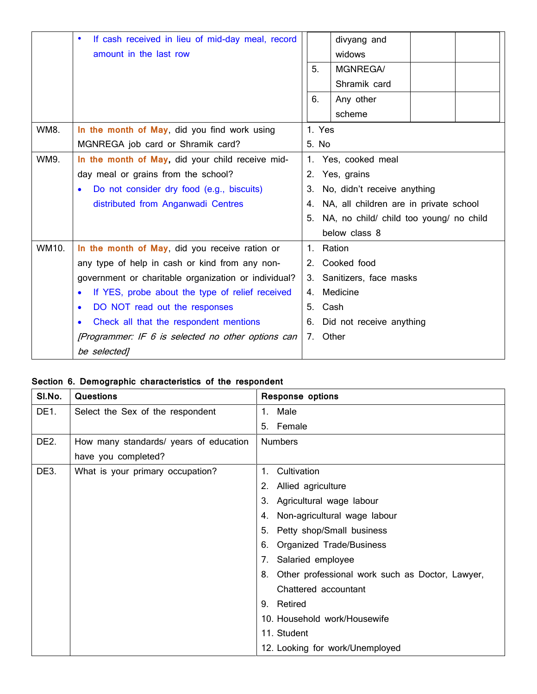|             | If cash received in lieu of mid-day meal, record<br>$\bullet$ |    |        | divyang and                                |  |
|-------------|---------------------------------------------------------------|----|--------|--------------------------------------------|--|
|             | amount in the last row                                        |    |        | widows                                     |  |
|             |                                                               | 5. |        | <b>MGNREGA/</b>                            |  |
|             |                                                               |    |        | Shramik card                               |  |
|             |                                                               | 6. |        | Any other                                  |  |
|             |                                                               |    |        | scheme                                     |  |
| <b>WM8.</b> | In the month of May, did you find work using                  |    | 1. Yes |                                            |  |
|             | MGNREGA job card or Shramik card?                             |    | 5. No  |                                            |  |
| WM9.        | In the month of May, did your child receive mid-              |    |        | 1. Yes, cooked meal                        |  |
|             | day meal or grains from the school?                           | 2. |        | Yes, grains                                |  |
|             | Do not consider dry food (e.g., biscuits)                     | 3. |        | No, didn't receive anything                |  |
|             | distributed from Anganwadi Centres                            |    |        | 4. NA, all children are in private school  |  |
|             |                                                               |    |        | 5. NA, no child/ child too young/ no child |  |
|             |                                                               |    |        | below class 8                              |  |
| WM10.       | In the month of May, did you receive ration or                |    |        | 1. Ration                                  |  |
|             | any type of help in cash or kind from any non-                |    |        | 2. Cooked food                             |  |
|             | government or charitable organization or individual?          |    |        | 3. Sanitizers, face masks                  |  |
|             | If YES, probe about the type of relief received<br>$\bullet$  |    |        | 4. Medicine                                |  |
|             | DO NOT read out the responses<br>$\bullet$                    |    |        | 5. Cash                                    |  |
|             | Check all that the respondent mentions<br>$\bullet$           | 6. |        | Did not receive anything                   |  |
|             | [Programmer: IF 6 is selected no other options can            |    |        | 7. Other                                   |  |
|             | be selected]                                                  |    |        |                                            |  |

# **Section 6. Demographic characteristics of the respondent**

| SI.No.            | <b>Questions</b>                       | <b>Response options</b>                               |
|-------------------|----------------------------------------|-------------------------------------------------------|
| DE1.              | Select the Sex of the respondent       | 1. Male                                               |
|                   |                                        | 5. Female                                             |
| DE <sub>2</sub> . | How many standards/ years of education | <b>Numbers</b>                                        |
|                   | have you completed?                    |                                                       |
| DE3.              | What is your primary occupation?       | Cultivation<br>1.                                     |
|                   |                                        | Allied agriculture<br>2.                              |
|                   |                                        | Agricultural wage labour<br>3.                        |
|                   |                                        | Non-agricultural wage labour<br>4.                    |
|                   |                                        | Petty shop/Small business<br>5.                       |
|                   |                                        | <b>Organized Trade/Business</b><br>6.                 |
|                   |                                        | Salaried employee<br>7.                               |
|                   |                                        | Other professional work such as Doctor, Lawyer,<br>8. |
|                   |                                        | Chattered accountant                                  |
|                   |                                        | 9. Retired                                            |
|                   |                                        | 10. Household work/Housewife                          |
|                   |                                        | 11. Student                                           |
|                   |                                        | 12. Looking for work/Unemployed                       |